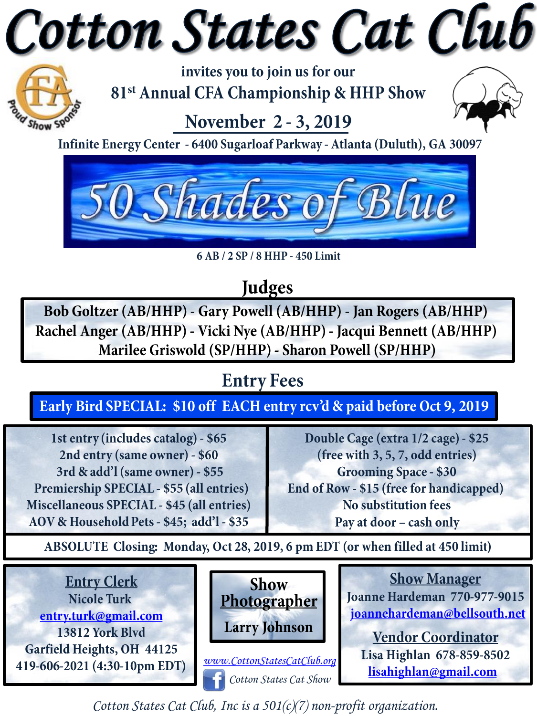# Cotton States Cat Club



invites you to join us for our 81<sup>st</sup> Annual CFA Championship & HHP Show

## November 2 - 3, 2019

Infinite Energy Center - 6400 Sugarloaf Parkway - Atlanta (Duluth), GA 30097



6 AB / 2 SP / 8 HHP - 450 Limit

### Judges

Bob Goltzer (AB/HHP) - Gary Powell (AB/HHP) - Jan Rogers (AB/HHP) Rachel Anger (AB/HHP) - Vicki Nye (AB/HHP) - Jacqui Bennett (AB/HHP) Marilee Griswold (SP/HHP) - Sharon Powell (SP/HHP)

## **Entry Fees**

Early Bird SPECIAL: \$10 off EACH entry rcv'd & paid before Oct 9, 2019

1st entry (includes catalog) - \$65 2nd entry (same owner) - \$60 3rd & add'l (same owner) - \$55 Premiership SPECIAL - \$55 (all entries) Miscellaneous SPECIAL - \$45 (all entries) AOV & Household Pets - \$45; add'l - \$35

Double Cage (extra 1/2 cage) - \$25 (free with 3, 5, 7, odd entries) **Grooming Space - \$30** End of Row - \$15 (free for handicapped) No substitution fees Pay at door - cash only

ABSOLUTE Closing: Monday, Oct 28, 2019, 6 pm EDT (or when filled at 450 limit)





www.CottonStatesCatClub.org Cotton States Cat Show

**Show Manager** Joanne Hardeman 770-977-9015 joannehardeman@bellsouth.net

**Vendor Coordinator** Lisa Highlan 678-859-8502 lisahighlan@gmail.com

Cotton States Cat Club, Inc is a  $501(c)(7)$  non-profit organization.